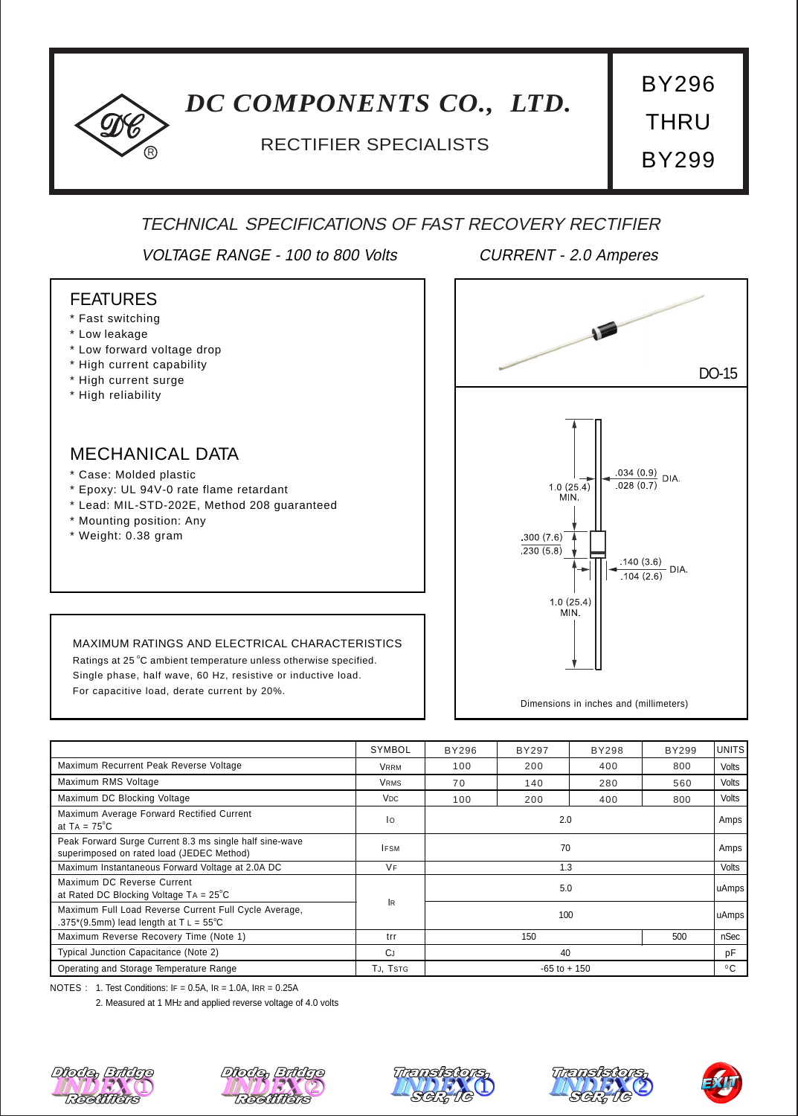# *DC COMPONENTS CO., LTD.*

# <sup>R</sup> RECTIFIER SPECIALISTS

THRU BY299

BY296

## TECHNICAL SPECIFICATIONS OF FAST RECOVERY RECTIFIER

VOLTAGE RANGE - 100 to 800 Volts CURRENT - 2.0 Amperes

### FEATURES

- \* Fast switching
- \* Low leakage
- \* Low forward voltage drop
- \* High current capability
- \* High current surge
- \* High reliability

### MECHANICAL DATA

- \* Case: Molded plastic
- \* Epoxy: UL 94V-0 rate flame retardant
- \* Lead: MIL-STD-202E, Method 208 guaranteed
- \* Mounting position: Any
- \* Weight: 0.38 gram



#### MAXIMUM RATINGS AND ELECTRICAL CHARACTERISTICS

Ratings at 25 °C ambient temperature unless otherwise specified. Single phase, half wave, 60 Hz, resistive or inductive load. For capacitive load, derate current by 20%.

|                                                                                                          | SYMBOL                | BY296           | BY297 | BY298 | BY299 | <b>UNITS</b> |
|----------------------------------------------------------------------------------------------------------|-----------------------|-----------------|-------|-------|-------|--------------|
| Maximum Recurrent Peak Reverse Voltage                                                                   | <b>VRRM</b>           | 100             | 200   | 400   | 800   | Volts        |
| Maximum RMS Voltage                                                                                      | <b>VRMS</b>           | 70              | 140   | 280   | 560   | Volts        |
| Maximum DC Blocking Voltage                                                                              | <b>V<sub>DC</sub></b> | 100             | 200   | 400   | 800   | Volts        |
| Maximum Average Forward Rectified Current<br>at $TA = 75^{\circ}C$                                       | 10                    | 2.0             |       |       |       | Amps         |
| Peak Forward Surge Current 8.3 ms single half sine-wave<br>superimposed on rated load (JEDEC Method)     | <b>IFSM</b>           | 70              |       |       |       | Amps         |
| Maximum Instantaneous Forward Voltage at 2.0A DC                                                         | VF                    | 1.3             |       |       |       | <b>Volts</b> |
| Maximum DC Reverse Current<br>at Rated DC Blocking Voltage $TA = 25^{\circ}C$                            | <b>IR</b>             |                 | 5.0   |       |       | uAmps        |
| Maximum Full Load Reverse Current Full Cycle Average,<br>.375*(9.5mm) lead length at $T L = 55^{\circ}C$ | 100                   |                 |       |       |       | uAmps        |
| Maximum Reverse Recovery Time (Note 1)                                                                   | trr                   | 150             |       |       | 500   | nSec         |
| Typical Junction Capacitance (Note 2)                                                                    | CJ                    | 40              |       |       |       | рF           |
| Operating and Storage Temperature Range                                                                  | TJ, TSTG              | $-65$ to $+150$ |       |       |       | $^{\circ}$ C |

NOTES : 1. Test Conditions: IF = 0.5A, IR = 1.0A, IRR = 0.25A

2. Measured at 1 MHZ and applied reverse voltage of 4.0 volts